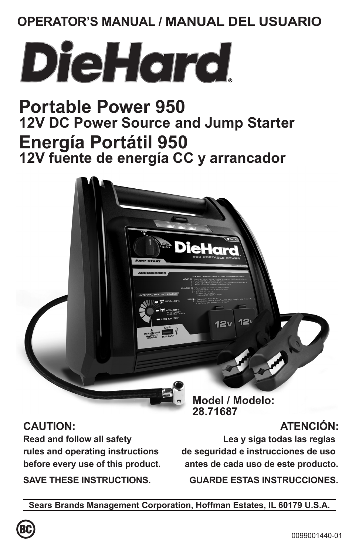# **OPERATOR'S MANUAL / MANUAL DEL USUARIO**



# **Portable Power 950 12V DC Power Source and Jump Starter Energía Portátil 950 12V fuente de energía CC y arrancador**



**Read and follow all safety rules and operating instructions before every use of this product.**

**SAVE THESE INSTRUCTIONS.**

**Model / Modelo: 28.71687**

 $12'$ 

12 $v^{\dagger}$ 

# **ATENCIÓN:**

**Lea y siga todas las reglas de seguridad e instrucciones de uso antes de cada uso de este producto.**

**GUARDE ESTAS INSTRUCCIONES.**

**Sears Brands Management Corporation, Hoffman Estates, IL 60179 U.S.A.**

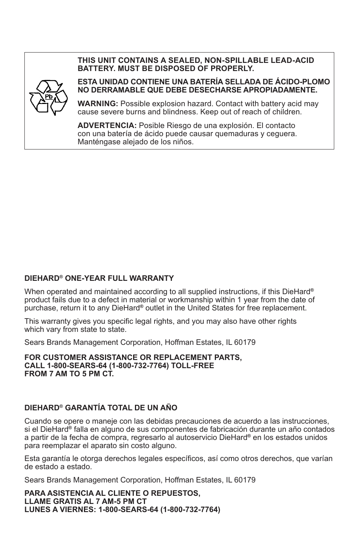#### **THIS UNIT CONTAINS A SEALED, NON-SPILLABLE LEAD-ACID BATTERY. MUST BE DISPOSED OF PROPERLY.**



#### **ESTA UNIDAD CONTIENE UNA BATERÍA SELLADA DE ÁCIDO-PLOMO NO DERRAMABLE QUE DEBE DESECHARSE APROPIADAMENTE.**

**WARNING:** Possible explosion hazard. Contact with battery acid may cause severe burns and blindness. Keep out of reach of children.

**ADVERTENCIA:** Posible Riesgo de una explosión. El contacto con una batería de ácido puede causar quemaduras y ceguera. Manténgase alejado de los niños.

#### **DIEHARD® ONE-YEAR FULL WARRANTY**

When operated and maintained according to all supplied instructions, if this DieHard**®** product fails due to a defect in material or workmanship within 1 year from the date of purchase, return it to any DieHard**®** outlet in the United States for free replacement.

This warranty gives you specific legal rights, and you may also have other rights which vary from state to state.

Sears Brands Management Corporation, Hoffman Estates, IL 60179

**FOR CUSTOMER ASSISTANCE OR REPLACEMENT PARTS, CALL 1-800-SEARS-64 (1-800-732-7764) TOLL-FREE FROM 7 AM TO 5 PM CT.** 

#### **DIEHARD® GARANTÍA TOTAL DE UN AÑO**

Cuando se opere o maneje con las debidas precauciones de acuerdo a las instrucciones, si el DieHard**®** falla en alguno de sus componentes de fabricación durante un año contados a partir de la fecha de compra, regresarlo al autoservicio DieHard**®** en los estados unidos para reemplazar el aparato sin costo alguno.

Esta garantía le otorga derechos legales específicos, así como otros derechos, que varían de estado a estado.

Sears Brands Management Corporation, Hoffman Estates, IL 60179

**PARA ASISTENCIA AL CLIENTE O REPUESTOS, LLAME GRATIS AL 7 AM-5 PM CT LUNES A VIERNES: 1-800-SEARS-64 (1-800-732-7764)**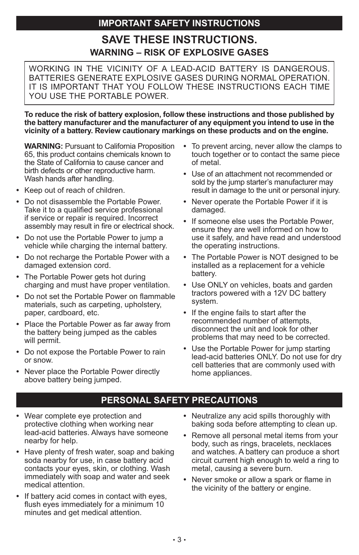# **IMPORTANT SAFETY INSTRUCTIONS**

# **SAVE THESE INSTRUCTIONS. WARNING – RISK OF EXPLOSIVE GASES**

WORKING IN THE VICINITY OF A LEAD-ACID BATTERY IS DANGEROUS. BATTERIES GENERATE EXPLOSIVE GASES DURING NORMAL OPERATION. IT IS IMPORTANT THAT YOU FOLLOW THESE INSTRUCTIONS EACH TIME YOU USE THE PORTABLE POWER.

**To reduce the risk of battery explosion, follow these instructions and those published by the battery manufacturer and the manufacturer of any equipment you intend to use in the vicinity of a battery. Review cautionary markings on these products and on the engine.**

**WARNING:** Pursuant to California Proposition 65, this product contains chemicals known to the State of California to cause cancer and birth defects or other reproductive harm. Wash hands after handling.

- **•**  Keep out of reach of children.
- **•**  Do not disassemble the Portable Power. Take it to a qualified service professional if service or repair is required. Incorrect assembly may result in fire or electrical shock.
- **•**  Do not use the Portable Power to jump a vehicle while charging the internal battery.
- **•**  Do not recharge the Portable Power with a damaged extension cord.
- **•**  The Portable Power gets hot during charging and must have proper ventilation.
- Do not set the Portable Power on flammable materials, such as carpeting, upholstery, paper, cardboard, etc.
- Place the Portable Power as far away from the battery being jumped as the cables will permit.
- **•**  Do not expose the Portable Power to rain or snow.
- **•**  Never place the Portable Power directly above battery being jumped.
- **•**  To prevent arcing, never allow the clamps to touch together or to contact the same piece of metal.
- **•**  Use of an attachment not recommended or sold by the jump starter's manufacturer may result in damage to the unit or personal injury.
- **•**  Never operate the Portable Power if it is damaged.
- **•**  If someone else uses the Portable Power, ensure they are well informed on how to use it safely, and have read and understood the operating instructions.
- **•**  The Portable Power is NOT designed to be installed as a replacement for a vehicle battery.
- **•**  Use ONLY on vehicles, boats and garden tractors powered with a 12V DC battery system.
- **•**  If the engine fails to start after the recommended number of attempts, disconnect the unit and look for other problems that may need to be corrected.
- **•**  Use the Portable Power for jump starting lead-acid batteries ONLY. Do not use for dry cell batteries that are commonly used with home appliances.

## **PERSONAL SAFETY PRECAUTIONS**

- **•**  Wear complete eye protection and protective clothing when working near lead-acid batteries. Always have someone nearby for help.
- Have plenty of fresh water, soap and baking soda nearby for use, in case battery acid contacts your eyes, skin, or clothing. Wash immediately with soap and water and seek medical attention.
- **If battery acid comes in contact with eyes.** flush eyes immediately for a minimum 10 minutes and get medical attention.
- **•**  Neutralize any acid spills thoroughly with baking soda before attempting to clean up.
- **•**  Remove all personal metal items from your body, such as rings, bracelets, necklaces and watches. A battery can produce a short circuit current high enough to weld a ring to metal, causing a severe burn.
- **•**  Never smoke or allow a spark or flame in the vicinity of the battery or engine.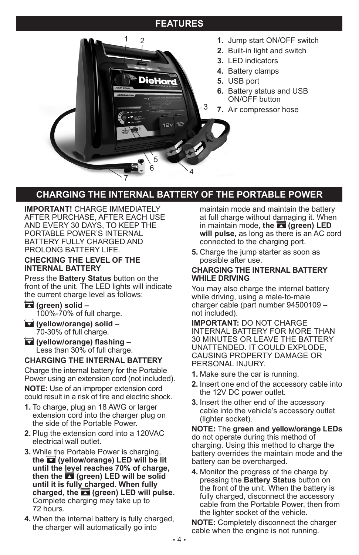## **FEATURES**



# **CHARGING THE INTERNAL BATTERY OF THE PORTABLE POWER**

**IMPORTANT!** CHARGE IMMEDIATELY AFTER PURCHASE, AFTER EACH USE AND EVERY 30 DAYS, TO KEEP THE PORTABLE POWER'S INTERNAL BATTERY FULLY CHARGED AND PROLONG BATTERY LIFE.

#### **CHECKING THE LEVEL OF THE INTERNAL BATTERY**

Press the **Battery Status** button on the front of the unit. The LED lights will indicate the current charge level as follows:

**(green) solid –** 100%-70% of full charge.

**(yellow/orange) solid –** 70-30% of full charge.

 **(yellow/orange) flashing –** Less than 30% of full charge.

#### **CHARGING THE INTERNAL BATTERY**

Charge the internal battery for the Portable Power using an extension cord (not included). **NOTE:** Use of an improper extension cord could result in a risk of fire and electric shock.

- **1.** To charge, plug an 18 AWG or larger extension cord into the charger plug on the side of the Portable Power.
- **2.** Plug the extension cord into a 120VAC electrical wall outlet.
- **3.** While the Portable Power is charging, **the (yellow/orange) LED will be lit until the level reaches 70% of charge, then the (green) LED will be solid until it is fully charged. When fully charged, the (green) LED will pulse.** Complete charging may take up to 72 hours.
- **4.** When the internal battery is fully charged, the charger will automatically go into

maintain mode and maintain the battery at full charge without damaging it. When in maintain mode, the **1** (green) LED **will pulse,** as long as there is an AC cord connected to the charging port.

**5.** Charge the jump starter as soon as possible after use.

#### **CHARGING THE INTERNAL BATTERY WHILE DRIVING**

You may also charge the internal battery while driving, using a male-to-male charger cable (part number 94500109 – not included).

**IMPORTANT:** DO NOT CHARGE INTERNAL BATTERY FOR MORE THAN 30 MINUTES OR LEAVE THE BATTERY UNATTENDED. IT COULD EXPLODE, CAUSING PROPERTY DAMAGE OR PERSONAL INJURY.

- **1.** Make sure the car is running.
- **2.** Insert one end of the accessory cable into the 12V DC power outlet.
- **3.** Insert the other end of the accessory cable into the vehicle's accessory outlet (lighter socket).

**NOTE:** The **green and yellow/orange LEDs**  do not operate during this method of charging. Using this method to charge the battery overrides the maintain mode and the battery can be overcharged.

**4.** Monitor the progress of the charge by pressing the **Battery Status** button on the front of the unit. When the battery is fully charged, disconnect the accessory cable from the Portable Power, then from the lighter socket of the vehicle.

**NOTE:** Completely disconnect the charger cable when the engine is not running.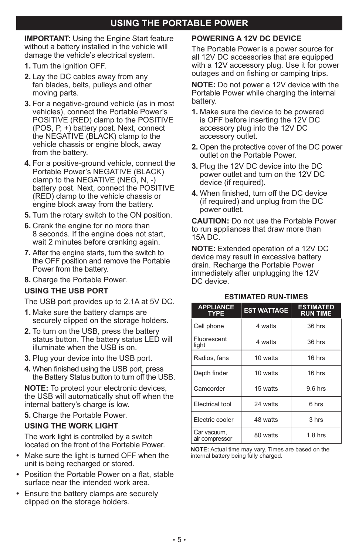# **USING THE PORTABLE POWER**

**IMPORTANT:** Using the Engine Start feature without a battery installed in the vehicle will damage the vehicle's electrical system.

- **1.** Turn the ignition OFF.
- **2.** Lay the DC cables away from any fan blades, belts, pulleys and other moving parts.
- **3.** For a negative-ground vehicle (as in most vehicles), connect the Portable Power's POSITIVE (RED) clamp to the POSITIVE (POS, P, +) battery post. Next, connect the NEGATIVE (BLACK) clamp to the vehicle chassis or engine block, away from the battery.
- **4.** For a positive-ground vehicle, connect the Portable Power's NEGATIVE (BLACK) clamp to the NEGATIVE (NEG, N, -) battery post. Next, connect the POSITIVE (RED) clamp to the vehicle chassis or engine block away from the battery.
- **5.** Turn the rotary switch to the ON position.
- **6.** Crank the engine for no more than 8 seconds. If the engine does not start, wait 2 minutes before cranking again.
- **7.** After the engine starts, turn the switch to the OFF position and remove the Portable Power from the battery.
- **8.** Charge the Portable Power.

#### **USING THE USB PORT**

The USB port provides up to 2.1A at 5V DC.

- **1.** Make sure the battery clamps are securely clipped on the storage holders.
- **2.** To turn on the USB, press the battery status button. The battery status LED will illuminate when the USB is on.
- **3.** Plug your device into the USB port.
- **4.** When finished using the USB port, press the Battery Status button to turn off the USB.

**NOTE:** To protect your electronic devices, the USB will automatically shut off when the internal battery's charge is low.

**5.** Charge the Portable Power.

#### **USING THE WORK LIGHT**

The work light is controlled by a switch located on the front of the Portable Power.

- **•**  Make sure the light is turned OFF when the unit is being recharged or stored.
- Position the Portable Power on a flat, stable surface near the intended work area.
- **•**  Ensure the battery clamps are securely clipped on the storage holders.

#### **POWERING A 12V DC DEVICE**

The Portable Power is a power source for all 12V DC accessories that are equipped with a 12V accessory plug. Use it for power outages and on fishing or camping trips.

**NOTE:** Do not power a 12V device with the Portable Power while charging the internal battery.

- **1.** Make sure the device to be powered is OFF before inserting the 12V DC accessory plug into the 12V DC accessory outlet.
- **2.** Open the protective cover of the DC power outlet on the Portable Power.
- **3.** Plug the 12V DC device into the DC power outlet and turn on the 12V DC device (if required).
- **4.** When finished, turn off the DC device (if required) and unplug from the DC power outlet.

**CAUTION:** Do not use the Portable Power to run appliances that draw more than 15A DC.

**NOTE:** Extended operation of a 12V DC device may result in excessive battery drain. Recharge the Portable Power immediately after unplugging the 12V DC device.

| <b>APPLIANCE</b><br><b>TYPE</b> | <b>EST WATTAGE</b> | <b>ESTIMATED</b><br><b>RUN TIME</b> |
|---------------------------------|--------------------|-------------------------------------|
| Cell phone                      | 4 watts            | 36 hrs                              |
| Fluorescent<br>light            | 4 watts            | 36 hrs                              |
| Radios, fans                    | 10 watts           | 16 hrs                              |
| Depth finder                    | 10 watts           | 16 hrs                              |
| Camcorder                       | 15 watts           | $9.6$ hrs                           |
| Electrical tool                 | 24 watts           | 6 hrs                               |
| Electric cooler                 | 48 watts           | 3 hrs                               |
| Car vacuum,<br>air compressor   | 80 watts           | $1.8$ hrs                           |

#### **ESTIMATED RUN-TIMES**

**NOTE:** Actual time may vary. Times are based on the internal battery being fully charged.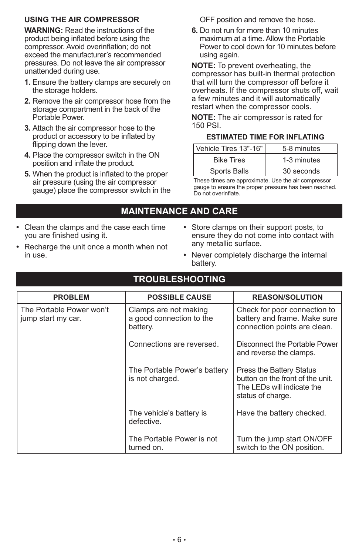#### **USING THE AIR COMPRESSOR**

**WARNING:** Read the instructions of the product being inflated before using the compressor. Avoid overinflation; do not exceed the manufacturer's recommended pressures. Do not leave the air compressor unattended during use.

- **1.** Ensure the battery clamps are securely on the storage holders.
- **2.** Remove the air compressor hose from the storage compartment in the back of the Portable Power.
- **3.** Attach the air compressor hose to the product or accessory to be inflated by flipping down the lever.
- **4.** Place the compressor switch in the ON position and inflate the product.
- **5.** When the product is inflated to the proper air pressure (using the air compressor gauge) place the compressor switch in the

OFF position and remove the hose.

**6.** Do not run for more than 10 minutes maximum at a time. Allow the Portable Power to cool down for 10 minutes before using again.

**NOTE:** To prevent overheating, the compressor has built-in thermal protection that will turn the compressor off before it overheats. If the compressor shuts off, wait a few minutes and it will automatically restart when the compressor cools.

**NOTE:** The air compressor is rated for 150 PSI.

#### **ESTIMATED TIME FOR INFLATING**

| Vehicle Tires 13"-16" | 5-8 minutes |
|-----------------------|-------------|
| <b>Bike Tires</b>     | 1-3 minutes |
| Sports Balls          | 30 seconds  |

These times are approximate. Use the air compressor gauge to ensure the proper pressure has been reached. Do not overinflate.

### **MAINTENANCE AND CARE**

- **•**  Clean the clamps and the case each time you are finished using it.
- Recharge the unit once a month when not in use.
- **•**  Store clamps on their support posts, to ensure they do not come into contact with any metallic surface.
- **•**  Never completely discharge the internal battery.

### **TROUBLESHOOTING**

| <b>PROBLEM</b>                                 | <b>POSSIBLE CAUSE</b>                                         | <b>REASON/SOLUTION</b>                                                                                          |
|------------------------------------------------|---------------------------------------------------------------|-----------------------------------------------------------------------------------------------------------------|
| The Portable Power won't<br>jump start my car. | Clamps are not making<br>a good connection to the<br>battery. | Check for poor connection to<br>battery and frame. Make sure<br>connection points are clean.                    |
|                                                | Connections are reversed.                                     | Disconnect the Portable Power<br>and reverse the clamps.                                                        |
|                                                | The Portable Power's battery<br>is not charged.               | Press the Battery Status<br>button on the front of the unit.<br>The LEDs will indicate the<br>status of charge. |
|                                                | The vehicle's battery is<br>defective.                        | Have the battery checked.                                                                                       |
|                                                | The Portable Power is not<br>turned on.                       | Turn the jump start ON/OFF<br>switch to the ON position.                                                        |